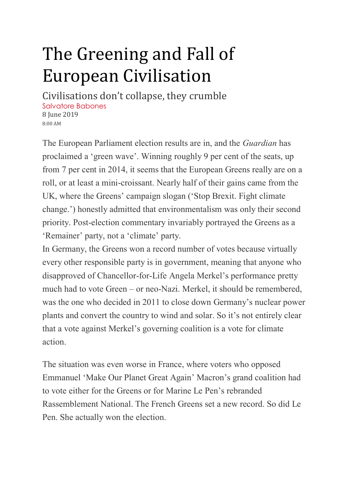## The Greening and Fall of European Civilisation

Civilisations don't collapse, they crumble [Salvatore](https://www.spectator.co.uk/author/salvatorebabones/) Babones 8 June 2019 8:00 AM

The European Parliament election results are in, and the *Guardian* has proclaimed a 'green wave'. Winning roughly 9 per cent of the seats, up from 7 per cent in 2014, it seems that the European Greens really are on a roll, or at least a mini-croissant. Nearly half of their gains came from the UK, where the Greens' campaign slogan ('Stop Brexit. Fight climate change.') honestly admitted that environmentalism was only their second priority. Post-election commentary invariably portrayed the Greens as a 'Remainer' party, not a 'climate' party.

In Germany, the Greens won a record number of votes because virtually every other responsible party is in government, meaning that anyone who disapproved of Chancellor-for-Life Angela Merkel's performance pretty much had to vote Green – or neo-Nazi. Merkel, it should be remembered, was the one who decided in 2011 to close down Germany's nuclear power plants and convert the country to wind and solar. So it's not entirely clear that a vote against Merkel's governing coalition is a vote for climate action.

The situation was even worse in France, where voters who opposed Emmanuel 'Make Our Planet Great Again' Macron's grand coalition had to vote either for the Greens or for Marine Le Pen's rebranded Rassemblement National. The French Greens set a new record. So did Le Pen. She actually won the election.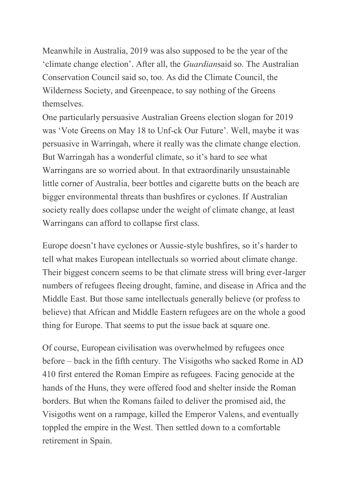Meanwhile in Australia, 2019 was also supposed to be the year of the 'climate change election'. After all, the *Guardian*said so. The Australian Conservation Council said so, too. As did the Climate Council, the Wilderness Society, and Greenpeace, to say nothing of the Greens themselves.

One particularly persuasive Australian Greens election slogan for 2019 was 'Vote Greens on May 18 to Unf-ck Our Future'. Well, maybe it was persuasive in Warringah, where it really was the climate change election. But Warringah has a wonderful climate, so it's hard to see what Warringans are so worried about. In that extraordinarily unsustainable little corner of Australia, beer bottles and cigarette butts on the beach are bigger environmental threats than bushfires or cyclones. If Australian society really does collapse under the weight of climate change, at least Warringans can afford to collapse first class.

Europe doesn't have cyclones or Aussie-style bushfires, so it's harder to tell what makes European intellectuals so worried about climate change. Their biggest concern seems to be that climate stress will bring ever-larger numbers of refugees fleeing drought, famine, and disease in Africa and the Middle East. But those same intellectuals generally believe (or profess to believe) that African and Middle Eastern refugees are on the whole a good thing for Europe. That seems to put the issue back at square one.

Of course, European civilisation was overwhelmed by refugees once before – back in the fifth century. The Visigoths who sacked Rome in AD 410 first entered the Roman Empire as refugees. Facing genocide at the hands of the Huns, they were offered food and shelter inside the Roman borders. But when the Romans failed to deliver the promised aid, the Visigoths went on a rampage, killed the Emperor Valens, and eventually toppled the empire in the West. Then settled down to a comfortable retirement in Spain.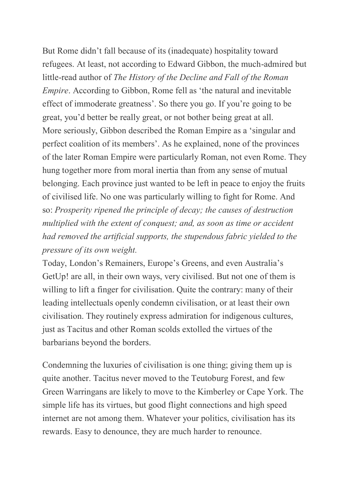But Rome didn't fall because of its (inadequate) hospitality toward refugees. At least, not according to Edward Gibbon, the much-admired but little-read author of *The History of the Decline and Fall of the Roman Empire*. According to Gibbon, Rome fell as 'the natural and inevitable effect of immoderate greatness'. So there you go. If you're going to be great, you'd better be really great, or not bother being great at all. More seriously, Gibbon described the Roman Empire as a 'singular and perfect coalition of its members'. As he explained, none of the provinces of the later Roman Empire were particularly Roman, not even Rome. They hung together more from moral inertia than from any sense of mutual belonging. Each province just wanted to be left in peace to enjoy the fruits of civilised life. No one was particularly willing to fight for Rome. And so: *Prosperity ripened the principle of decay; the causes of destruction multiplied with the extent of conquest; and, as soon as time or accident had removed the artificial supports, the stupendous fabric yielded to the pressure of its own weight.*

Today, London's Remainers, Europe's Greens, and even Australia's GetUp! are all, in their own ways, very civilised. But not one of them is willing to lift a finger for civilisation. Quite the contrary: many of their leading intellectuals openly condemn civilisation, or at least their own civilisation. They routinely express admiration for indigenous cultures, just as Tacitus and other Roman scolds extolled the virtues of the barbarians beyond the borders.

Condemning the luxuries of civilisation is one thing; giving them up is quite another. Tacitus never moved to the Teutoburg Forest, and few Green Warringans are likely to move to the Kimberley or Cape York. The simple life has its virtues, but good flight connections and high speed internet are not among them. Whatever your politics, civilisation has its rewards. Easy to denounce, they are much harder to renounce.